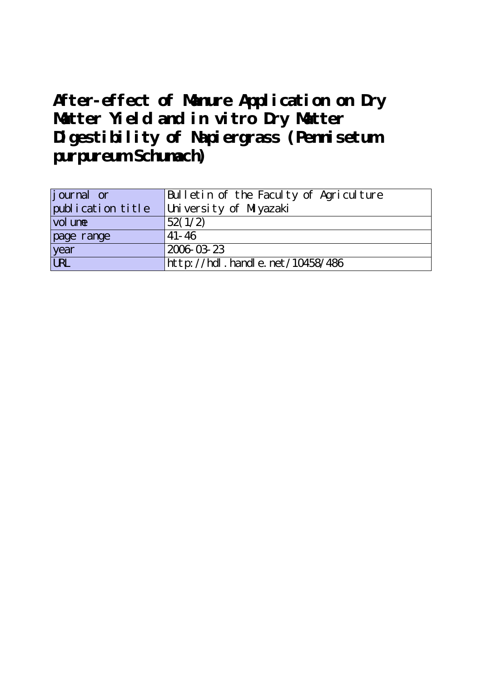# **After-effect of Manure Application on Dry Matter Yield and in vitro Dry Matter Digestibility of Napiergrass (Pennisetum purpureum Schumach)**

| j ournal or       | Bulletin of the Faculty of Agriculture |
|-------------------|----------------------------------------|
| publication title | University of Miyazaki                 |
| vol une           | 52(1/2)                                |
| page range        | $41 - 46$                              |
| year              | 2006 03 23                             |
| URL               | http://hdl.handle.net/10458/486        |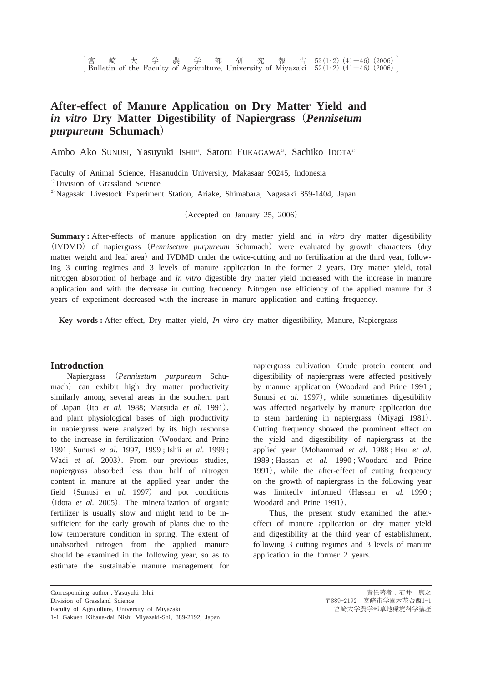## **After-effect of Manure Application on Dry Matter Yield and** *in vitro* Dry Matter Digestibility of Napiergrass (Pennisetum  $p$ *urpureum* **Schumach**)

Ambo Ako Sunusi, Yasuyuki Ishii<sup>i</sup>, Satoru Fukagawa<sup>2</sup>, Sachiko Idota<sup>11</sup>

Faculty of Animal Science, Hasanuddin University, Makasaar 90245, Indonesia <sup>1)</sup> Division of Grassland Science <sup>2)</sup> Nagasaki Livestock Experiment Station, Ariake, Shimabara, Nagasaki 859-1404, Japan

(Accepted on January 25, 2006)

**Summary :** After-effects of manure application on dry matter yield and *in vitro* dry matter digestibility (IVDMD) of napiergrass (Pennisetum purpureum Schumach) were evaluated by growth characters (dry matter weight and leaf area) and IVDMD under the twice-cutting and no fertilization at the third year, following 3 cutting regimes and 3 levels of manure application in the former 2 years. Dry matter yield, total nitrogen absorption of herbage and *in vitro* digestible dry matter yield increased with the increase in manure application and with the decrease in cutting frequency. Nitrogen use efficiency of the applied manure for 3 years of experiment decreased with the increase in manure application and cutting frequency.

**Key words :** After-effect, Dry matter yield, *In vitro* dry matter digestibility, Manure, Napiergrass

#### **Introduction**

Napiergrass *Pennisetum purpureum* Schumach) can exhibit high dry matter productivity similarly among several areas in the southern part of Japan (Ito et al. 1988; Matsuda et al. 1991), and plant physiological bases of high productivity in napiergrass were analyzed by its high response to the increase in fertilization (Woodard and Prine 1991 ; Sunusi *et al.* 1997, 1999 ; Ishii *et al.* 1999 ; Wadi et al. 2003). From our previous studies, napiergrass absorbed less than half of nitrogen content in manure at the applied year under the field (Sunusi et al. 1997) and pot conditions (Idota et al. 2005). The mineralization of organic fertilizer is usually slow and might tend to be insufficient for the early growth of plants due to the low temperature condition in spring. The extent of unabsorbed nitrogen from the applied manure should be examined in the following year, so as to estimate the sustainable manure management for

napiergrass cultivation. Crude protein content and digestibility of napiergrass were affected positively by manure application (Woodard and Prine 1991; Sunusi et al. 1997), while sometimes digestibility was affected negatively by manure application due to stem hardening in napiergrass (Miyagi 1981). Cutting frequency showed the prominent effect on the yield and digestibility of napiergrass at the applied year (Mohammad *et al.* 1988; Hsu *et al.* 1989 ; Hassan *et al.* 1990 ; Woodard and Prine 1991), while the after-effect of cutting frequency on the growth of napiergrass in the following year was limitedly informed Hassan *et al.* 1990 ; Woodard and Prine 1991).

Thus, the present study examined the aftereffect of manure application on dry matter yield and digestibility at the third year of establishment, following 3 cutting regimes and 3 levels of manure application in the former 2 years.

Corresponding author : Yasuyuki Ishii Division of Grassland Science Faculty of Agriculture, University of Miyazaki

<sup>1-1</sup> Gakuen Kibana-dai Nishi Miyazaki-Shi, 889-2192, Japan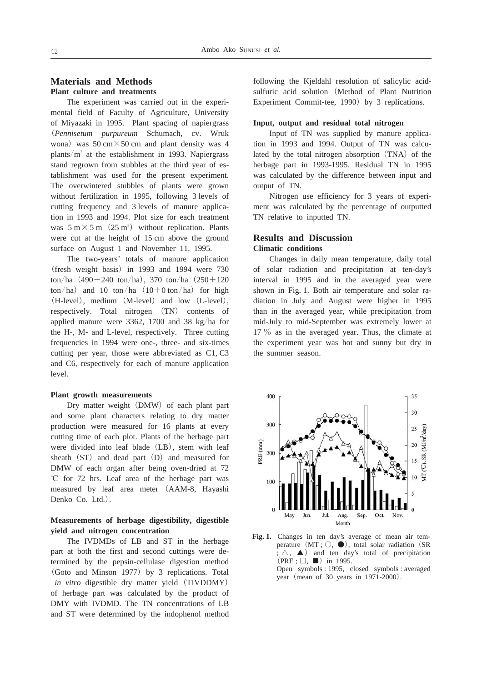## **Materials and Methods Plant culture and treatments**

The experiment was carried out in the experimental field of Faculty of Agriculture, University of Miyazaki in 1995. Plant spacing of napiergrass *Pennisetum purpureum* Schumach, cv. Wruk wona) was  $50 \text{ cm} \times 50 \text{ cm}$  and plant density was 4 plants/ $m<sup>2</sup>$  at the establishment in 1993. Napiergrass stand regrown from stubbles at the third year of establishment was used for the present experiment. The overwintered stubbles of plants were grown without fertilization in 1995, following 3 levels of cutting frequency and 3 levels of manure application in 1993 and 1994. Plot size for each treatment was  $5 \text{ m} \times 5 \text{ m}$  (25 m<sup>2</sup>) without replication. Plants were cut at the height of 15 cm above the ground surface on August 1 and November 11, 1995.

The two-years' totals of manure application (fresh weight basis) in 1993 and 1994 were 730 ton/ha  $(490+240 \text{ ton/ha})$ , 370 ton/ha  $(250+120$  $\frac{\tan(\theta)}{\tan(\theta)}$  and 10 ton/ha  $\frac{(10+0 \tan(\theta))}{\tan(\theta)}$  for high (H-level), medium (M-level) and low (L-level), respectively. Total nitrogen (TN) contents of applied manure were 3362, 1700 and 38 kg/ha for the H-, M- and L-level, respectively. Three cutting frequencies in 1994 were one-, three- and six-times cutting per year, those were abbreviated as C1, C3 and C6, respectively for each of manure application level.

#### **Plant growth measurements**

Dry matter weight (DMW) of each plant part and some plant characters relating to dry matter production were measured for 16 plants at every cutting time of each plot. Plants of the herbage part were divided into leaf blade (LB), stem with leaf sheath (ST) and dead part (D) and measured for DMW of each organ after being oven-dried at 72  $^{\circ}$ C for 72 hrs. Leaf area of the herbage part was measured by leaf area meter AAM-8, Hayashi Denko Co. Ltd.).

## **Measurements of herbage digestibility, digestible yield and nitrogen concentration**

The IVDMDs of LB and ST in the herbage part at both the first and second cuttings were determined by the pepsin-cellulase digestion method (Goto and Minson 1977) by 3 replications. Total *in vitro* digestible dry matter yield (TIVDDMY) of herbage part was calculated by the product of DMY with IVDMD. The TN concentrations of LB and ST were determined by the indophenol method

following the Kjeldahl resolution of salicylic acidsulfuric acid solution (Method of Plant Nutrition Experiment Commit-tee, 1990) by 3 replications.

#### **Input, output and residual total nitrogen**

Input of TN was supplied by manure application in 1993 and 1994. Output of TN was calculated by the total nitrogen absorption (TNA) of the herbage part in 1993-1995. Residual TN in 1995 was calculated by the difference between input and output of TN.

Nitrogen use efficiency for 3 years of experiment was calculated by the percentage of outputted TN relative to inputted TN.

## **Results and Discussion Climatic conditions**

Changes in daily mean temperature, daily total of solar radiation and precipitation at ten-day's interval in 1995 and in the averaged year were shown in Fig. 1. Both air temperature and solar radiation in July and August were higher in 1995 than in the averaged year, while precipitation from mid-July to mid-September was extremely lower at  $17\%$  as in the averaged year. Thus, the climate at the experiment year was hot and sunny but dry in the summer season.



Fig. 1. Changes in ten day's average of mean air temperature  $(MT; \bigcirc, \bigcirc)$ , total solar radiation (SR  $\overline{z}$ ;  $\triangle$ ,  $\blacktriangle$ ) and ten day's total of precipitation  $(PRE; \square, \blacksquare)$  in 1995. Open symbols : 1995, closed symbols : averaged year (mean of 30 years in 1971-2000).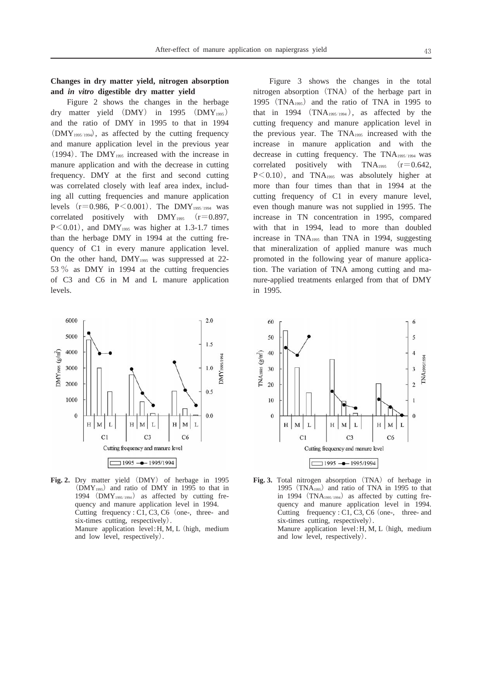#### **Changes in dry matter yield, nitrogen absorption and** *in vitro* **digestible dry matter yield**

Figure 2 shows the changes in the herbage dry matter yield (DMY) in 1995 (DMY<sub>1995</sub>) and the ratio of DMY in 1995 to that in 1994 (DMY<sub>1995/1994</sub>), as affected by the cutting frequency and manure application level in the previous year  $(1994)$ . The DMY<sub>1995</sub> increased with the increase in manure application and with the decrease in cutting frequency. DMY at the first and second cutting was correlated closely with leaf area index, including all cutting frequencies and manure application levels  $(r=0.986, P<0.001)$ . The DMY<sub>1995/1994</sub> was correlated positively with  $DMY<sub>1995</sub>$  (r=0.897,  $P<0.01$ ), and DMY<sub>1995</sub> was higher at 1.3-1.7 times than the herbage DMY in 1994 at the cutting frequency of C1 in every manure application level. On the other hand, DMY<sub>1995</sub> was suppressed at 22-53  $\%$  as DMY in 1994 at the cutting frequencies of C3 and C6 in M and L manure application levels.



Fig. 2. Dry matter yield (DMY) of herbage in 1995  $(DMY<sub>1995</sub>)$  and ratio of DMY in 1995 to that in 1994  $(DMY<sub>1995/1994</sub>)$  as affected by cutting frequency and manure application level in 1994. Cutting frequency : C1, C3, C6 (one-, three- and six-times cutting, respectively). Manure application level: H, M, L (high, medium and low level, respectively).

Figure 3 shows the changes in the total nitrogen absorption (TNA) of the herbage part in 1995 (TNA<sub>1995</sub>) and the ratio of TNA in 1995 to that in 1994  $(TNA<sub>1995/1994</sub>)$ , as affected by the cutting frequency and manure application level in the previous year. The TNA1995 increased with the increase in manure application and with the decrease in cutting frequency. The TNA<sub>1995/1994</sub> was correlated positively with  $TNA<sub>1995</sub>$   $(r=0.642,$  $P<0.10$ , and TNA<sub>1995</sub> was absolutely higher at more than four times than that in 1994 at the cutting frequency of C1 in every manure level, even though manure was not supplied in 1995. The increase in TN concentration in 1995, compared with that in 1994, lead to more than doubled increase in TNA1995 than TNA in 1994, suggesting that mineralization of applied manure was much promoted in the following year of manure application. The variation of TNA among cutting and manure-applied treatments enlarged from that of DMY in 1995.



Fig. 3. Total nitrogen absorption (TNA) of herbage in 1995 (TNA<sub>1995</sub>) and ratio of TNA in 1995 to that in 1994  $(TNA<sub>1995/1994</sub>)$  as affected by cutting frequency and manure application level in 1994. Cutting frequency :  $C1$ ,  $C3$ ,  $C6$  (one-, three- and six-times cutting, respectively). Manure application level: H, M, L (high, medium and low level, respectively).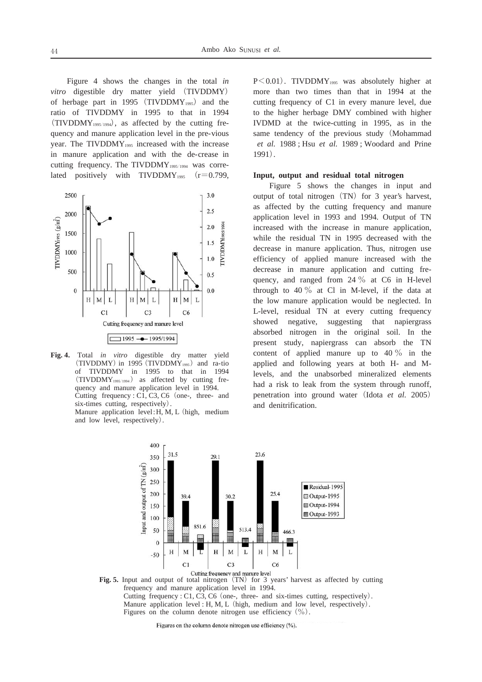Figure 4 shows the changes in the total *in* vitro digestible dry matter yield (TIVDDMY) of herbage part in 1995 (TIVDDMY<sub>1995</sub>) and the ratio of TIVDDMY in 1995 to that in 1994  $(TIVDDMY<sub>1995/1994</sub>)$ , as affected by the cutting frequency and manure application level in the pre-vious year. The TIVDDMY<sub>1995</sub> increased with the increase in manure application and with the de-crease in cutting frequency. The TIVDDMY<sub>1995/1994</sub> was correlated positively with TIVDDMY<sub>1995</sub>  $(r=0.799,$ 



**Fig. 4.** Total *in vitro* digestible dry matter yield  $(TIVDDMY)$  in 1995  $(TIVDDMY<sub>1995</sub>)$  and ra-tio of TIVDDMY in 1995 to that in 1994  $(TIVDDMY<sub>1995/1994</sub>)$  as affected by cutting frequency and manure application level in 1994. Cutting frequency :  $C1$ ,  $C3$ ,  $C6$  (one-, three- and six-times cutting, respectively). Manure application level:  $H, M, L$  (high, medium

and low level, respectively).

 $P<0.01$ ). TIVDDMY<sub>1995</sub> was absolutely higher at more than two times than that in 1994 at the cutting frequency of C1 in every manure level, due to the higher herbage DMY combined with higher IVDMD at the twice-cutting in 1995, as in the same tendency of the previous study (Mohammad *et al.* 1988 ; Hsu *et al.* 1989 ; Woodard and Prine 1991).

#### **Input, output and residual total nitrogen**

Figure 5 shows the changes in input and output of total nitrogen (TN) for 3 year's harvest, as affected by the cutting frequency and manure application level in 1993 and 1994. Output of TN increased with the increase in manure application, while the residual TN in 1995 decreased with the decrease in manure application. Thus, nitrogen use efficiency of applied manure increased with the decrease in manure application and cutting frequency, and ranged from 24  $\%$  at C6 in H-level through to 40  $\%$  at Cl in M-level, if the data at the low manure application would be neglected. In L-level, residual TN at every cutting frequency showed negative, suggesting that napiergrass absorbed nitrogen in the original soil. In the present study, napiergrass can absorb the TN content of applied manure up to  $40\%$  in the applied and following years at both H- and Mlevels, and the unabsorbed mineralized elements had a risk to leak from the system through runoff, penetration into ground water (Idota et al. 2005) and denitrification.



Fig. 5. Input and output of total nitrogen (TN) for 3 years' harvest as affected by cutting frequency and manure application level in 1994. Cutting frequency : C1, C3, C6 (one-, three- and six-times cutting, respectively). Manure application level: H, M, L (high, medium and low level, respectively).

Figures on the column denote nitrogen use efficiency  $(\% )$ .

Figures on the column denote nitrogen use efficiency (%).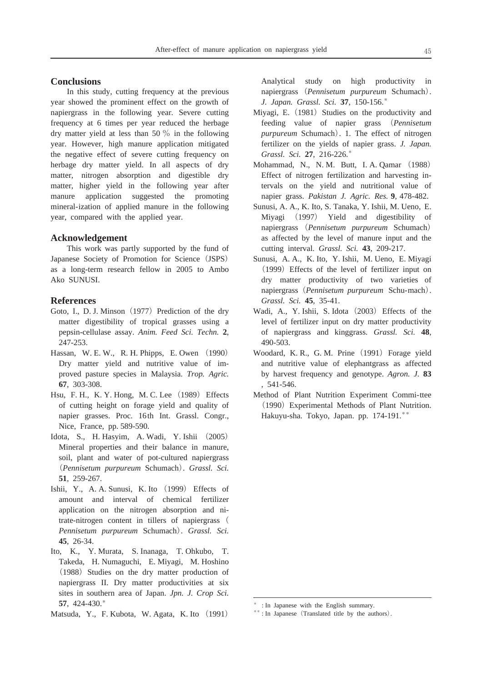#### **Conclusions**

In this study, cutting frequency at the previous year showed the prominent effect on the growth of napiergrass in the following year. Severe cutting frequency at 6 times per year reduced the herbage dry matter yield at less than 50  $\%$  in the following year. However, high manure application mitigated the negative effect of severe cutting frequency on herbage dry matter yield. In all aspects of dry matter, nitrogen absorption and digestible dry matter, higher yield in the following year after manure application suggested the promoting mineral-ization of applied manure in the following year, compared with the applied year.

#### **Acknowledgement**

This work was partly supported by the fund of Japanese Society of Promotion for Science (JSPS) as a long-term research fellow in 2005 to Ambo Ako SUNUSI.

## **References**

- Goto, I., D. J. Minson (1977) Prediction of the dry matter digestibility of tropical grasses using a pepsin-cellulase assay. *Anim. Feed Sci. Techn.* **2**, 247-253.
- Hassan, W. E. W., R. H. Phipps, E. Owen (1990) Dry matter yield and nutritive value of improved pasture species in Malaysia. *Trop. Agric.* **67**, 303-308.
- Hsu, F. H., K. Y. Hong, M. C. Lee (1989) Effects of cutting height on forage yield and quality of napier grasses. Proc. 16th Int. Grassl. Congr., Nice, France, pp. 589-590.
- Idota, S., H. Hasyim, A. Wadi, Y. Ishii -2005 Mineral properties and their balance in manure, soil, plant and water of pot-cultured napiergrass -*Pennisetum purpureum* Schumach. *Grassl. Sci.* **51**, 259-267.
- Ishii, Y., A. A. Sunusi, K. Ito (1999) Effects of amount and interval of chemical fertilizer application on the nitrogen absorption and nitrate-nitrogen content in tillers of napiergrass ( *Pennisetum purpureum* Schumach. *Grassl. Sci.* **45**, 26-34.
- Ito, K., Y. Murata, S. Inanaga, T. Ohkubo, T. Takeda, H. Numaguchi, E. Miyagi, M. Hoshino (1988) Studies on the dry matter production of napiergrass II. Dry matter productivities at six sites in southern area of Japan. *Jpn. J. Crop Sci.* **57**, 424-430.
- Matsuda, Y., F. Kubota, W. Agata, K. Ito (1991)

Analytical study on high productivity in napiergrass (Pennisetum purpureum Schumach). *J. Japan. Grassl. Sci.* **37**, 150-156.

- Miyagi, E. (1981) Studies on the productivity and feeding value of napier grass (Pennisetum *purpureum* Schumach). 1. The effect of nitrogen fertilizer on the yields of napier grass. *J. Japan. Grassl. Sci.* **27**, 216-226.
- Mohammad, N., N. M. Butt, I. A. Qamar (1988) Effect of nitrogen fertilization and harvesting intervals on the yield and nutritional value of napier grass. *Pakistan J. Agric. Res.* **9**, 478-482.
- Sunusi, A. A., K. Ito, S. Tanaka, Y. Ishii, M. Ueno, E. Miyagi (1997) Yield and digestibility of napiergrass (Pennisetum purpureum Schumach) as affected by the level of manure input and the cutting interval. *Grassl. Sci.* **43**, 209-217.
- Sunusi, A. A., K. Ito, Y. Ishii, M. Ueno, E. Miyagi (1999) Effects of the level of fertilizer input on dry matter productivity of two varieties of napiergrass-*Pennisetum purpureum* Schu-mach. *Grassl. Sci.* **45**, 35-41.
- Wadi, A., Y. Ishii, S. Idota (2003) Effects of the level of fertilizer input on dry matter productivity of napiergrass and kinggrass. *Grassl. Sci.* **48**, 490-503.
- Woodard, K. R., G. M. Prine (1991) Forage yield and nutritive value of elephantgrass as affected by harvest frequency and genotype. *Agron. J.* **83** , 541-546.
- Method of Plant Nutrition Experiment Commi-ttee (1990) Experimental Methods of Plant Nutrition. Hakuyu-sha. Tokyo, Japan. pp. 174-191.

: In Japanese with the English summary.

<sup>\*\*:</sup> In Japanese (Translated title by the authors).